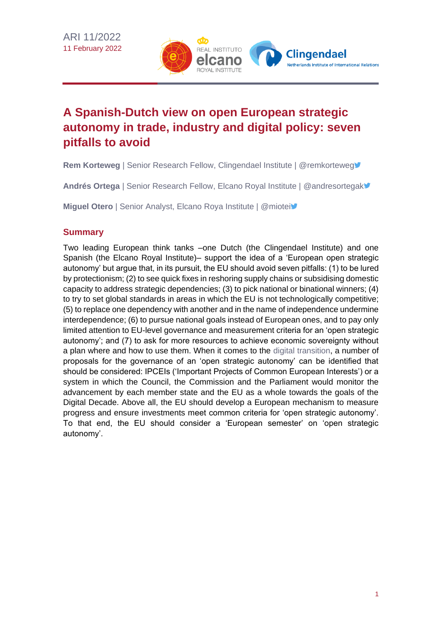

# **A Spanish-Dutch view on open European strategic autonomy in trade, industry and digital policy: seven pitfalls to avoid**

**Rem Korteweg** | Senior Research Fellow, Clingendael Institute | @remkorteweg

**Andrés Ortega** | Senior Research Fellow, Elcano Royal Institute | @andresortegak

**Miguel Otero** | Senior Analyst, Elcano Roya Institute | @miotei

## **Summary**

Two leading European think tanks –one Dutch (the Clingendael Institute) and one Spanish (the Elcano Royal Institute)– support the idea of a 'European open strategic autonomy' but argue that, in its pursuit, the EU should avoid seven pitfalls: (1) to be lured by protectionism; (2) to see quick fixes in reshoring supply chains or subsidising domestic capacity to address strategic dependencies; (3) to pick national or binational winners; (4) to try to set global standards in areas in which the EU is not technologically competitive; (5) to replace one dependency with another and in the name of independence undermine interdependence; (6) to pursue national goals instead of European ones, and to pay only limited attention to EU-level governance and measurement criteria for an 'open strategic autonomy'; and (7) to ask for more resources to achieve economic sovereignty without a plan where and how to use them. When it comes to the [digital transition,](https://www.realinstitutoelcano.org/en/sustainability-driven-digital-transitions-tools-for-the-long-term/) a number of proposals for the governance of an 'open strategic autonomy' can be identified that should be considered: IPCEIs ('Important Projects of Common European Interests') or a system in which the Council, the Commission and the Parliament would monitor the advancement by each member state and the EU as a whole towards the goals of the Digital Decade. Above all, the EU should develop a European mechanism to measure progress and ensure investments meet common criteria for 'open strategic autonomy'. To that end, the EU should consider a 'European semester' on 'open strategic autonomy'.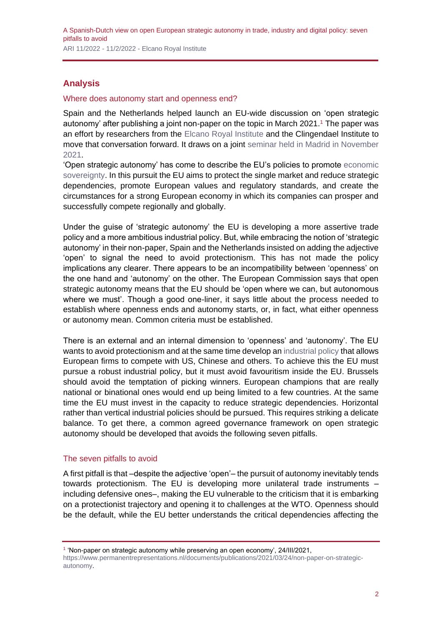## **Analysis**

#### Where does autonomy start and openness end?

Spain and the Netherlands helped launch an EU-wide discussion on 'open strategic autonomy' after publishing a joint non-paper on the topic in March 2021.<sup>1</sup> The paper was an effort by researchers from the [Elcano Royal Institute](https://www.realinstitutoelcano.org/en/) and the Clingendael Institute to move that conversation forward. It draws on a joint [seminar held in Madrid in November](https://www.realinstitutoelcano.org/en/videos/spain-the-netherlands-and-the-future-of-europe/)  [2021.](https://www.realinstitutoelcano.org/en/videos/spain-the-netherlands-and-the-future-of-europe/)

'Open strategic autonomy' has come to describe the EU's policies to promote [economic](https://www.realinstitutoelcano.org/en/activities/debate-european-digital-sovereignty-regulation-or-investment/)  [sovereignty.](https://www.realinstitutoelcano.org/en/activities/debate-european-digital-sovereignty-regulation-or-investment/) In this pursuit the EU aims to protect the single market and reduce strategic dependencies, promote European values and regulatory standards, and create the circumstances for a strong European economy in which its companies can prosper and successfully compete regionally and globally.

Under the guise of 'strategic autonomy' the EU is developing a more assertive trade policy and a more ambitious industrial policy. But, while embracing the notion of 'strategic autonomy' in their non-paper, Spain and the Netherlands insisted on adding the adjective 'open' to signal the need to avoid protectionism. This has not made the policy implications any clearer. There appears to be an incompatibility between 'openness' on the one hand and 'autonomy' on the other. The European Commission says that open strategic autonomy means that the EU should be 'open where we can, but autonomous where we must'. Though a good one-liner, it says little about the process needed to establish where openness ends and autonomy starts, or, in fact, what either openness or autonomy mean. Common criteria must be established.

There is an external and an internal dimension to 'openness' and 'autonomy'. The EU wants to avoid protectionism and at the same time develop an [industrial policy](https://www.realinstitutoelcano.org/en/the-return-of-industrial-policy-more-european-than-europeanist/) that allows European firms to compete with US, Chinese and others. To achieve this the EU must pursue a robust industrial policy, but it must avoid favouritism inside the EU. Brussels should avoid the temptation of picking winners. European champions that are really national or binational ones would end up being limited to a few countries. At the same time the EU must invest in the capacity to reduce strategic dependencies. Horizontal rather than vertical industrial policies should be pursued. This requires striking a delicate balance. To get there, a common agreed governance framework on open strategic autonomy should be developed that avoids the following seven pitfalls.

### The seven pitfalls to avoid

A first pitfall is that –despite the adjective 'open'– the pursuit of autonomy inevitably tends towards protectionism. The EU is developing more unilateral trade instruments – including defensive ones–, making the EU vulnerable to the criticism that it is embarking on a protectionist trajectory and opening it to challenges at the WTO. Openness should be the default, while the EU better understands the critical dependencies affecting the

<sup>1</sup> 'Non-paper on strategic autonomy while preserving an open economy', 24/III/2021, [https://www.permanentrepresentations.nl/documents/publications/2021/03/24/non-paper-on-strategic](https://www.permanentrepresentations.nl/documents/publications/2021/03/24/non-paper-on-strategic-autonomy)[autonomy.](https://www.permanentrepresentations.nl/documents/publications/2021/03/24/non-paper-on-strategic-autonomy)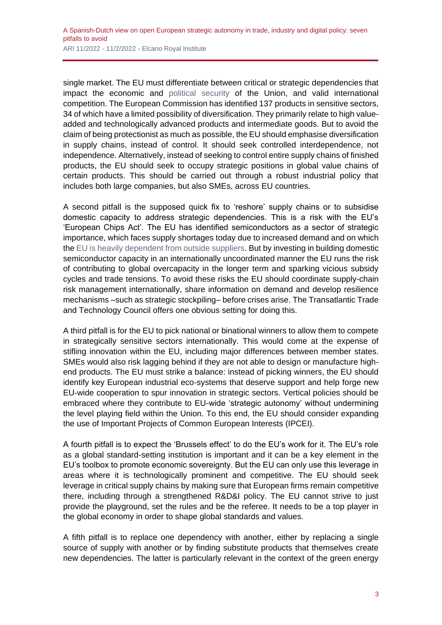single market. The EU must differentiate between critical or strategic dependencies that impact the economic and [political security](https://www.realinstitutoelcano.org/en/analyses/towards-greater-european-responsibility-in-security-and-defence-a-spanish-dutch-view/) of the Union, and valid international competition. The European Commission has identified 137 products in sensitive sectors, 34 of which have a limited possibility of diversification. They primarily relate to high valueadded and technologically advanced products and intermediate goods. But to avoid the claim of being protectionist as much as possible, the EU should emphasise diversification in supply chains, instead of control. It should seek controlled interdependence, not independence. Alternatively, instead of seeking to control entire supply chains of finished products, the EU should seek to occupy strategic positions in global value chains of certain products. This should be carried out through a robust industrial policy that includes both large companies, but also SMEs, across EU countries.

A second pitfall is the supposed quick fix to 'reshore' supply chains or to subsidise domestic capacity to address strategic dependencies. This is a risk with the EU's 'European Chips Act'. The EU has identified semiconductors as a sector of strategic importance, which faces supply shortages today due to increased demand and on which the [EU is heavily dependent from outside suppliers.](https://www.realinstitutoelcano.org/en/european-digital-sovereignty-the-eu-had-it-but-did-not-retain-it/) But by investing in building domestic semiconductor capacity in an internationally uncoordinated manner the EU runs the risk of contributing to global overcapacity in the longer term and sparking vicious subsidy cycles and trade tensions. To avoid these risks the EU should coordinate supply-chain risk management internationally, share information on demand and develop resilience mechanisms –such as strategic stockpiling– before crises arise. The Transatlantic Trade and Technology Council offers one obvious setting for doing this.

A third pitfall is for the EU to pick national or binational winners to allow them to compete in strategically sensitive sectors internationally. This would come at the expense of stifling innovation within the EU, including major differences between member states. SMEs would also risk lagging behind if they are not able to design or manufacture highend products. The EU must strike a balance: instead of picking winners, the EU should identify key European industrial eco-systems that deserve support and help forge new EU-wide cooperation to spur innovation in strategic sectors. Vertical policies should be embraced where they contribute to EU-wide 'strategic autonomy' without undermining the level playing field within the Union. To this end, the EU should consider expanding the use of Important Projects of Common European Interests (IPCEI).

A fourth pitfall is to expect the 'Brussels effect' to do the EU's work for it. The EU's role as a global standard-setting institution is important and it can be a key element in the EU's toolbox to promote economic sovereignty. But the EU can only use this leverage in areas where it is technologically prominent and competitive. The EU should seek leverage in critical supply chains by making sure that European firms remain competitive there, including through a strengthened R&D&I policy. The EU cannot strive to just provide the playground, set the rules and be the referee. It needs to be a top player in the global economy in order to shape global standards and values.

A fifth pitfall is to replace one dependency with another, either by replacing a single source of supply with another or by finding substitute products that themselves create new dependencies. The latter is particularly relevant in the context of the green energy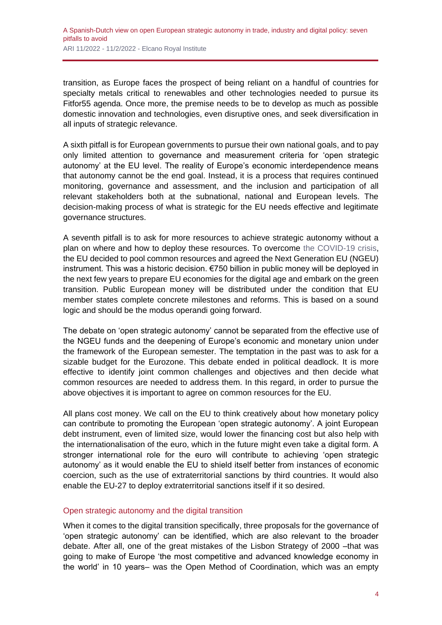transition, as Europe faces the prospect of being reliant on a handful of countries for specialty metals critical to renewables and other technologies needed to pursue its Fitfor55 agenda. Once more, the premise needs to be to develop as much as possible domestic innovation and technologies, even disruptive ones, and seek diversification in all inputs of strategic relevance.

A sixth pitfall is for European governments to pursue their own national goals, and to pay only limited attention to governance and measurement criteria for 'open strategic autonomy' at the EU level. The reality of Europe's economic interdependence means that autonomy cannot be the end goal. Instead, it is a process that requires continued monitoring, governance and assessment, and the inclusion and participation of all relevant stakeholders both at the subnational, national and European levels. The decision-making process of what is strategic for the EU needs effective and legitimate governance structures.

A seventh pitfall is to ask for more resources to achieve strategic autonomy without a plan on where and how to deploy these resources. To overcome [the COVID-19 crisis,](https://especiales.realinstitutoelcano.org/coronavirus/?lang=en) the EU decided to pool common resources and agreed the Next Generation EU (NGEU) instrument. This was a historic decision. €750 billion in public money will be deployed in the next few years to prepare EU economies for the digital age and embark on the green transition. Public European money will be distributed under the condition that EU member states complete concrete milestones and reforms. This is based on a sound logic and should be the modus operandi going forward.

The debate on 'open strategic autonomy' cannot be separated from the effective use of the NGEU funds and the deepening of Europe's economic and monetary union under the framework of the European semester. The temptation in the past was to ask for a sizable budget for the Eurozone. This debate ended in political deadlock. It is more effective to identify joint common challenges and objectives and then decide what common resources are needed to address them. In this regard, in order to pursue the above objectives it is important to agree on common resources for the EU.

All plans cost money. We call on the EU to think creatively about how monetary policy can contribute to promoting the European 'open strategic autonomy'. A joint European debt instrument, even of limited size, would lower the financing cost but also help with the internationalisation of the euro, which in the future might even take a digital form. A stronger international role for the euro will contribute to achieving 'open strategic autonomy' as it would enable the EU to shield itself better from instances of economic coercion, such as the use of extraterritorial sanctions by third countries. It would also enable the EU-27 to deploy extraterritorial sanctions itself if it so desired.

#### Open strategic autonomy and the digital transition

When it comes to the digital transition specifically, three proposals for the governance of 'open strategic autonomy' can be identified, which are also relevant to the broader debate. After all, one of the great mistakes of the Lisbon Strategy of 2000 –that was going to make of Europe 'the most competitive and advanced knowledge economy in the world' in 10 years– was the Open Method of Coordination, which was an empty